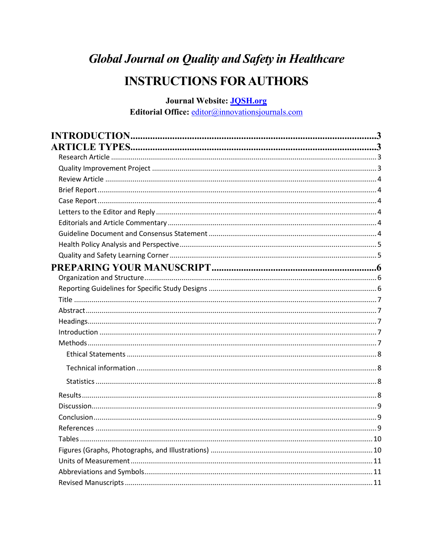# **Global Journal on Quality and Safety in Healthcare**

## **INSTRUCTIONS FOR AUTHORS**

Journal Website: **JOSH.org** 

Editorial Office: editor@innovationsjournals.com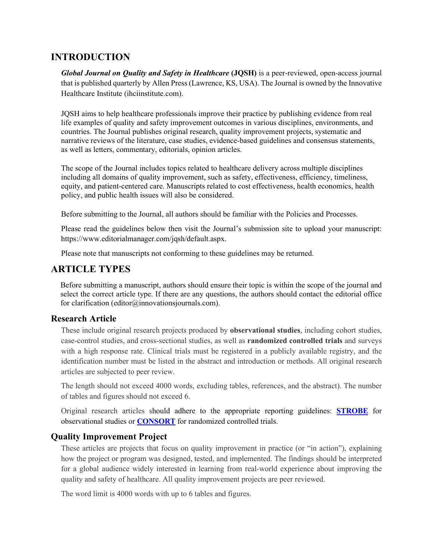## <span id="page-2-0"></span>**INTRODUCTION**

*Global Journal on Quality and Safety in Healthcare* **(JQSH)** is a peer-reviewed, open-access journal that is published quarterly by Allen Press (Lawrence, KS, USA). The Journal is owned by the Innovative Healthcare Institute (ihciinstitute.com).

JQSH aims to help healthcare professionals improve their practice by publishing evidence from real life examples of quality and safety improvement outcomes in various disciplines, environments, and countries. The Journal publishes original research, quality improvement projects, systematic and narrative reviews of the literature, case studies, evidence-based guidelines and consensus statements, as well as letters, commentary, editorials, opinion articles.

The scope of the Journal includes topics related to healthcare delivery across multiple disciplines including all domains of quality improvement, such as safety, effectiveness, efficiency, timeliness, equity, and patient-centered care. Manuscripts related to cost effectiveness, health economics, health policy, and public health issues will also be considered.

Before submitting to the Journal, all authors should be familiar with the [Policies and Processes.](https://meridian.allenpress.com/innovationsjournals-JQSH/pages/Policies)

Please read the guidelines below then visit the Journal's submission site to upload your manuscript: [https://www.editorialmanager.com/jqsh/default.aspx.](https://www.editorialmanager.com/jqsh/default.aspx)

Please note that manuscripts not conforming to these guidelines may be returned.

## <span id="page-2-1"></span>**ARTICLE TYPES**

Before submitting a manuscript, authors should ensure their topic is within the scope of the journal and select the correct article type. If there are any questions, the authors should contact the editorial office for clarification [\(editor@innovationsjournals.com\)](mailto:editor@innovationsjournals.com).

#### <span id="page-2-2"></span>**Research Article**

These include original research projects produced by **observational studies**, including cohort studies, case-control studies, and cross-sectional studies, as well as **randomized controlled trials** and surveys with a high response rate. Clinical trials must be registered in a publicly available registry, and the identification number must be listed in the abstract and introduction or methods. All original research articles are subjected to peer review.

The length should not exceed 4000 words, excluding tables, references, and the abstract). The number of tables and figures should not exceed 6.

Original research articles should adhere to the appropriate reporting guidelines: **[STROBE](https://www.strobe-statement.org/index.php?id=available-checklists)** for observational studies or **[CONSORT](http://www.consort-statement.org/)** for randomized controlled trials.

#### <span id="page-2-3"></span>**Quality Improvement Project**

These articles are projects that focus on quality improvement in practice (or "in action"), explaining how the project or program was designed, tested, and implemented. The findings should be interpreted for a global audience widely interested in learning from real-world experience about improving the quality and safety of healthcare. All quality improvement projects are peer reviewed.

The word limit is 4000 words with up to 6 tables and figures.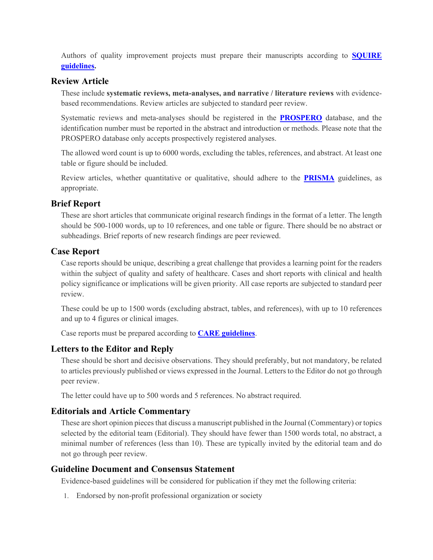Authors of quality improvement projects must prepare their manuscripts according to **[SQUIRE](http://squire-statement.org/index.cfm?fuseaction=Page.ViewPage&PageID=471)  [guidelines.](http://squire-statement.org/index.cfm?fuseaction=Page.ViewPage&PageID=471)** 

#### <span id="page-3-0"></span>**Review Article**

These include **systematic reviews, meta-analyses, and narrative / literature reviews** with evidencebased recommendations. Review articles are subjected to standard peer review.

Systematic reviews and meta-analyses should be registered in the **[PROSPERO](https://www.crd.york.ac.uk/prospero/)** database, and the identification number must be reported in the abstract and introduction or methods. Please note that the PROSPERO database only accepts prospectively registered analyses.

The allowed word count is up to 6000 words, excluding the tables, references, and abstract. At least one table or figure should be included.

Review articles, whether quantitative or qualitative, should adhere to the **[PRISMA](http://prisma-statement.org/PRISMAStatement/Checklist.aspx)** guidelines, as appropriate.

#### <span id="page-3-1"></span>**Brief Report**

These are short articles that communicate original research findings in the format of a letter. The length should be 500-1000 words, up to 10 references, and one table or figure. There should be no abstract or subheadings. Brief reports of new research findings are peer reviewed.

#### <span id="page-3-2"></span>**Case Report**

Case reports should be unique, describing a great challenge that provides a learning point for the readers within the subject of quality and safety of healthcare. Cases and short reports with clinical and health policy significance or implications will be given priority. All case reports are subjected to standard peer review.

These could be up to 1500 words (excluding abstract, tables, and references), with up to 10 references and up to 4 figures or clinical images.

Case reports must be prepared according to **[CARE guidelines](https://www.care-statement.org/resources/checklist)**.

#### <span id="page-3-3"></span>**Letters to the Editor and Reply**

These should be short and decisive observations. They should preferably, but not mandatory, be related to articles previously published or views expressed in the Journal. Letters to the Editor do not go through peer review.

The letter could have up to 500 words and 5 references. No abstract required.

#### <span id="page-3-4"></span>**Editorials and Article Commentary**

These are short opinion pieces that discuss a manuscript published in the Journal (Commentary) or topics selected by the editorial team (Editorial). They should have fewer than 1500 words total, no abstract, a minimal number of references (less than 10). These are typically invited by the editorial team and do not go through peer review.

#### <span id="page-3-5"></span>**Guideline Document and Consensus Statement**

Evidence-based guidelines will be considered for publication if they met the following criteria:

1. Endorsed by non-profit professional organization or society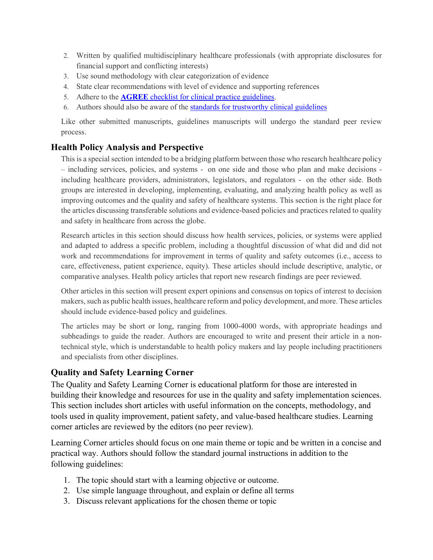- 2. Written by qualified multidisciplinary healthcare professionals (with appropriate disclosures for financial support and conflicting interests)
- 3. Use sound methodology with clear categorization of evidence
- 4. State clear recommendations with level of evidence and supporting references
- 5. Adhere to the **AGREE** [checklist for clinical practice guidelines.](https://www.agreetrust.org/wp-content/uploads/2016/02/AGREE-Reporting-Checklist-2016.pdf)
- 6. Authors should also be aware of the [standards for trustworthy clinical guidelines](http://www.nationalacademies.org/hmd/Reports/2011/Clinical-Practice-Guidelines-We-Can-Trust/Standards.aspx)

Like other submitted manuscripts, guidelines manuscripts will undergo the standard peer review process.

## <span id="page-4-0"></span>**Health Policy Analysis and Perspective**

This is a special section intended to be a bridging platform between those who research healthcare policy – including services, policies, and systems - on one side and those who plan and make decisions including healthcare providers, administrators, legislators, and regulators - on the other side. Both groups are interested in developing, implementing, evaluating, and analyzing health policy as well as improving outcomes and the quality and safety of healthcare systems. This section is the right place for the articles discussing transferable solutions and evidence-based policies and practices related to quality and safety in healthcare from across the globe.

Research articles in this section should discuss how health services, policies, or systems were applied and adapted to address a specific problem, including a thoughtful discussion of what did and did not work and recommendations for improvement in terms of quality and safety outcomes (i.e., access to care, effectiveness, patient experience, equity). These articles should include descriptive, analytic, or comparative analyses. Health policy articles that report new research findings are peer reviewed.

Other articles in this section will present expert opinions and consensus on topics of interest to decision makers, such as public health issues, healthcare reform and policy development, and more. These articles should include evidence-based policy and guidelines.

The articles may be short or long, ranging from 1000-4000 words, with appropriate headings and subheadings to guide the reader. Authors are encouraged to write and present their article in a nontechnical style, which is understandable to health policy makers and lay people including practitioners and specialists from other disciplines.

## <span id="page-4-1"></span>**Quality and Safety Learning Corner**

The Quality and Safety Learning Corner is educational platform for those are interested in building their knowledge and resources for use in the quality and safety implementation sciences. This section includes short articles with useful information on the concepts, methodology, and tools used in quality improvement, patient safety, and value-based healthcare studies. Learning corner articles are reviewed by the editors (no peer review).

Learning Corner articles should focus on one main theme or topic and be written in a concise and practical way. Authors should follow the standard journal instructions in addition to the following guidelines:

- 1. The topic should start with a learning objective or outcome.
- 2. Use simple language throughout, and explain or define all terms
- 3. Discuss relevant applications for the chosen theme or topic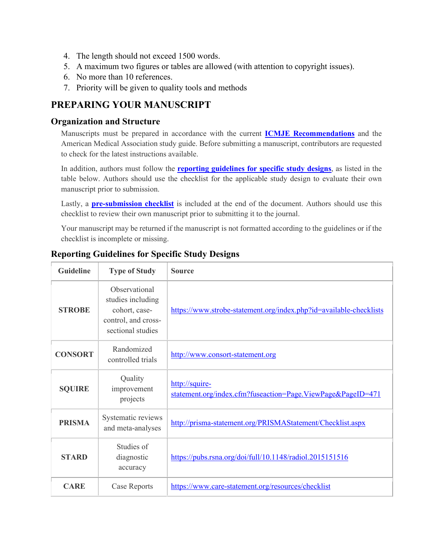- 4. The length should not exceed 1500 words.
- 5. A maximum two figures or tables are allowed (with attention to copyright issues).
- 6. No more than 10 references.
- 7. Priority will be given to quality tools and methods

## <span id="page-5-0"></span>**PREPARING YOUR MANUSCRIPT**

#### <span id="page-5-1"></span>**Organization and Structure**

Manuscripts must be prepared in accordance with the current **[ICMJE Recommendations](http://www.icmje.org/recommendations/browse/manuscript-preparation/preparing-for-submission.html)** and the American Medical Association study guide. Before submitting a manuscript, contributors are requested to check for the latest instructions available.

In addition, authors must follow the **[reporting guidelines for specific study designs](#page-5-2)**, as listed in the table below. Authors should use the checklist for the applicable study design to evaluate their own manuscript prior to submission.

Lastly, a **[pre-submission checklist](#page-13-0)** is included at the end of the document. Authors should use this checklist to review their own manuscript prior to submitting it to the journal.

Your manuscript may be returned if the manuscript is not formatted according to the guidelines or if the checklist is incomplete or missing.

| <b>Guideline</b> | <b>Type of Study</b>                                                                            | <b>Source</b>                                                                 |
|------------------|-------------------------------------------------------------------------------------------------|-------------------------------------------------------------------------------|
| <b>STROBE</b>    | Observational<br>studies including<br>cohort, case-<br>control, and cross-<br>sectional studies | https://www.strobe-statement.org/index.php?id=available-checklists            |
| <b>CONSORT</b>   | Randomized<br>controlled trials                                                                 | http://www.consort-statement.org                                              |
| <b>SQUIRE</b>    | Quality<br>improvement<br>projects                                                              | http://squire-<br>statement.org/index.cfm?fuseaction=Page.ViewPage&PageID=471 |
| <b>PRISMA</b>    | Systematic reviews<br>and meta-analyses                                                         | http://prisma-statement.org/PRISMAStatement/Checklist.aspx                    |
| <b>STARD</b>     | Studies of<br>diagnostic<br>accuracy                                                            | https://pubs.rsna.org/doi/full/10.1148/radiol.2015151516                      |
| <b>CARE</b>      | Case Reports                                                                                    | https://www.care-statement.org/resources/checklist                            |

## <span id="page-5-2"></span>**Reporting Guidelines for Specific Study Designs**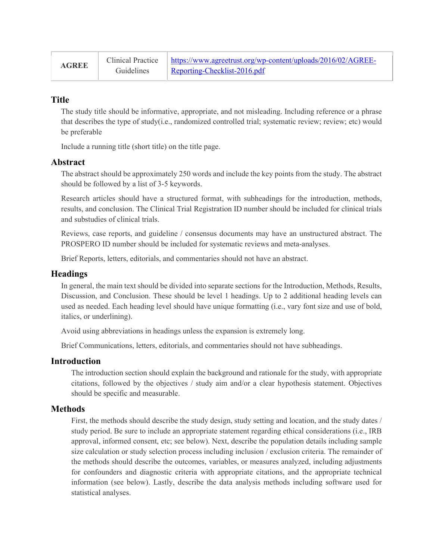| <b>AGREE</b> | <b>Clinical Practice</b> | $\vert$ https://www.agreetrust.org/wp-content/uploads/2016/02/AGREE- |
|--------------|--------------------------|----------------------------------------------------------------------|
|              | Guidelines               | Reporting-Checklist-2016.pdf                                         |

#### <span id="page-6-0"></span>**Title**

The study title should be informative, appropriate, and not misleading. Including reference or a phrase that describes the type of study(i.e., randomized controlled trial; systematic review; review; etc) would be preferable

Include a running title (short title) on the title page.

#### <span id="page-6-1"></span>**Abstract**

The abstract should be approximately 250 words and include the key points from the study. The abstract should be followed by a list of 3-5 keywords.

Research articles should have a structured format, with subheadings for the introduction, methods, results, and conclusion. The Clinical Trial Registration ID number should be included for clinical trials and substudies of clinical trials.

Reviews, case reports, and guideline / consensus documents may have an unstructured abstract. The PROSPERO ID number should be included for systematic reviews and meta-analyses.

Brief Reports, letters, editorials, and commentaries should not have an abstract.

#### <span id="page-6-2"></span>**Headings**

In general, the main text should be divided into separate sections for the Introduction, Methods, Results, Discussion, and Conclusion. These should be level 1 headings. Up to 2 additional heading levels can used as needed. Each heading level should have unique formatting (i.e., vary font size and use of bold, italics, or underlining).

Avoid using abbreviations in headings unless the expansion is extremely long.

Brief Communications, letters, editorials, and commentaries should not have subheadings.

#### <span id="page-6-3"></span>**Introduction**

The introduction section should explain the background and rationale for the study, with appropriate citations, followed by the objectives / study aim and/or a clear hypothesis statement. Objectives should be specific and measurable.

#### <span id="page-6-4"></span>**Methods**

First, the methods should describe the study design, study setting and location, and the study dates / study period. Be sure to include an appropriate statement regarding ethical considerations (i.e., IRB approval, informed consent, etc; see below). Next, describe the population details including sample size calculation or study selection process including inclusion / exclusion criteria. The remainder of the methods should describe the outcomes, variables, or measures analyzed, including adjustments for confounders and diagnostic criteria with appropriate citations, and the appropriate technical information (see below). Lastly, describe the data analysis methods including software used for statistical analyses.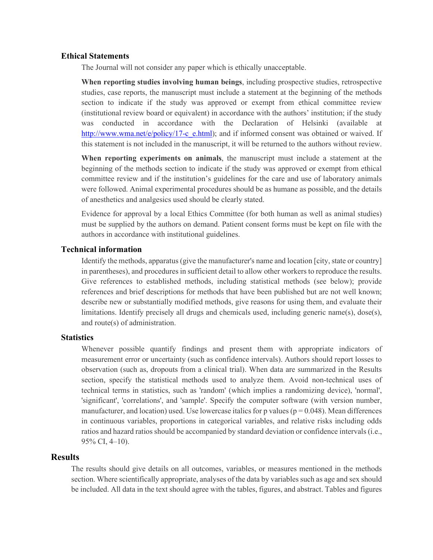#### <span id="page-7-0"></span>**Ethical Statements**

The Journal will not consider any paper which is ethically unacceptable.

**When reporting studies involving human beings**, including prospective studies, retrospective studies, case reports, the manuscript must include a statement at the beginning of the methods section to indicate if the study was approved or exempt from ethical committee review (institutional review board or equivalent) in accordance with the authors' institution; if the study was conducted in accordance with the Declaration of Helsinki (available at [http://www.wma.net/e/policy/17-c\\_e.html\)](http://www.wma.net/e/policy/17-c_e.html); and if informed consent was obtained or waived. If this statement is not included in the manuscript, it will be returned to the authors without review.

**When reporting experiments on animals**, the manuscript must include a statement at the beginning of the methods section to indicate if the study was approved or exempt from ethical committee review and if the institution's guidelines for the care and use of laboratory animals were followed. Animal experimental procedures should be as humane as possible, and the details of anesthetics and analgesics used should be clearly stated.

Evidence for approval by a local Ethics Committee (for both human as well as animal studies) must be supplied by the authors on demand. Patient consent forms must be kept on file with the authors in accordance with institutional guidelines.

#### <span id="page-7-1"></span>**Technical information**

Identify the methods, apparatus (give the manufacturer's name and location [city, state or country] in parentheses), and procedures in sufficient detail to allow other workers to reproduce the results. Give references to established methods, including statistical methods (see below); provide references and brief descriptions for methods that have been published but are not well known; describe new or substantially modified methods, give reasons for using them, and evaluate their limitations. Identify precisely all drugs and chemicals used, including generic name(s), dose(s), and route(s) of administration.

#### <span id="page-7-2"></span>**Statistics**

Whenever possible quantify findings and present them with appropriate indicators of measurement error or uncertainty (such as confidence intervals). Authors should report losses to observation (such as, dropouts from a clinical trial). When data are summarized in the Results section, specify the statistical methods used to analyze them. Avoid non-technical uses of technical terms in statistics, such as 'random' (which implies a randomizing device), 'normal', 'significant', 'correlations', and 'sample'. Specify the computer software (with version number, manufacturer, and location) used. Use lowercase italics for p values ( $p = 0.048$ ). Mean differences in continuous variables, proportions in categorical variables, and relative risks including odds ratios and hazard ratios should be accompanied by standard deviation or confidence intervals (i.e., 95% CI, 4–10).

#### <span id="page-7-3"></span>**Results**

The results should give details on all outcomes, variables, or measures mentioned in the methods section. Where scientifically appropriate, analyses of the data by variables such as age and sex should be included. All data in the text should agree with the tables, figures, and abstract. Tables and figures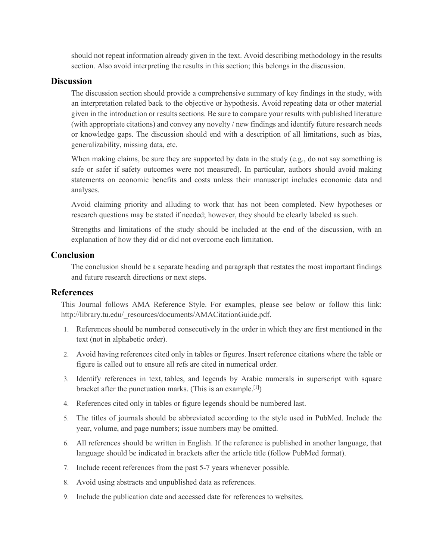should not repeat information already given in the text. Avoid describing methodology in the results section. Also avoid interpreting the results in this section; this belongs in the discussion.

#### <span id="page-8-0"></span>**Discussion**

The discussion section should provide a comprehensive summary of key findings in the study, with an interpretation related back to the objective or hypothesis. Avoid repeating data or other material given in the introduction or results sections. Be sure to compare your results with published literature (with appropriate citations) and convey any novelty / new findings and identify future research needs or knowledge gaps. The discussion should end with a description of all limitations, such as bias, generalizability, missing data, etc.

When making claims, be sure they are supported by data in the study (e.g., do not say something is safe or safer if safety outcomes were not measured). In particular, authors should avoid making statements on economic benefits and costs unless their manuscript includes economic data and analyses.

Avoid claiming priority and alluding to work that has not been completed. New hypotheses or research questions may be stated if needed; however, they should be clearly labeled as such.

Strengths and limitations of the study should be included at the end of the discussion, with an explanation of how they did or did not overcome each limitation.

#### <span id="page-8-1"></span>**Conclusion**

The conclusion should be a separate heading and paragraph that restates the most important findings and future research directions or next steps.

#### <span id="page-8-2"></span>**References**

This Journal follows AMA Reference Style. For examples, please see below or follow this link: [http://library.tu.edu/\\_resources/documents/AMACitationGuide.pdf.](http://library.tu.edu/_resources/documents/AMACitationGuide.pdf)

- 1. References should be numbered consecutively in the order in which they are first mentioned in the text (not in alphabetic order).
- 2. Avoid having references cited only in tables or figures. Insert reference citations where the table or figure is called out to ensure all refs are cited in numerical order.
- 3. Identify references in text, tables, and legends by Arabic numerals in superscript with square bracket after the punctuation marks. (This is an example.<sup>[1]</sup>)
- 4. References cited only in tables or figure legends should be numbered last.
- 5. The titles of journals should be abbreviated according to the style used in PubMed. Include the year, volume, and page numbers; issue numbers may be omitted.
- 6. All references should be written in English. If the reference is published in another language, that language should be indicated in brackets after the article title (follow PubMed format).
- 7. Include recent references from the past 5-7 years whenever possible.
- 8. Avoid using abstracts and unpublished data as references.
- 9. Include the publication date and accessed date for references to websites.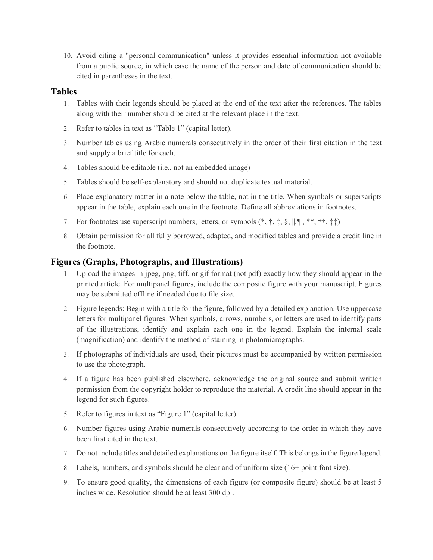10. Avoid citing a "personal communication" unless it provides essential information not available from a public source, in which case the name of the person and date of communication should be cited in parentheses in the text.

#### <span id="page-9-0"></span>**Tables**

- 1. Tables with their legends should be placed at the end of the text after the references. The tables along with their number should be cited at the relevant place in the text.
- 2. Refer to tables in text as "Table 1" (capital letter).
- 3. Number tables using Arabic numerals consecutively in the order of their first citation in the text and supply a brief title for each.
- 4. Tables should be editable (i.e., not an embedded image)
- 5. Tables should be self-explanatory and should not duplicate textual material.
- 6. Place explanatory matter in a note below the table, not in the title. When symbols or superscripts appear in the table, explain each one in the footnote. Define all abbreviations in footnotes.
- 7. For footnotes use superscript numbers, letters, or symbols  $(*, \dagger, \dagger, \S, \parallel, \P, **, \dagger \dagger, \ddagger \ddagger)$
- 8. Obtain permission for all fully borrowed, adapted, and modified tables and provide a credit line in the footnote.

#### <span id="page-9-1"></span>**Figures (Graphs, Photographs, and Illustrations)**

- 1. Upload the images in jpeg, png, tiff, or gif format (not pdf) exactly how they should appear in the printed article. For multipanel figures, include the composite figure with your manuscript. Figures may be submitted offline if needed due to file size.
- 2. Figure legends: Begin with a title for the figure, followed by a detailed explanation. Use uppercase letters for multipanel figures. When symbols, arrows, numbers, or letters are used to identify parts of the illustrations, identify and explain each one in the legend. Explain the internal scale (magnification) and identify the method of staining in photomicrographs.
- 3. If photographs of individuals are used, their pictures must be accompanied by written permission to use the photograph.
- 4. If a figure has been published elsewhere, acknowledge the original source and submit written permission from the copyright holder to reproduce the material. A credit line should appear in the legend for such figures.
- 5. Refer to figures in text as "Figure 1" (capital letter).
- 6. Number figures using Arabic numerals consecutively according to the order in which they have been first cited in the text.
- 7. Do not include titles and detailed explanations on the figure itself. This belongs in the figure legend.
- 8. Labels, numbers, and symbols should be clear and of uniform size (16+ point font size).
- 9. To ensure good quality, the dimensions of each figure (or composite figure) should be at least 5 inches wide. Resolution should be at least 300 dpi.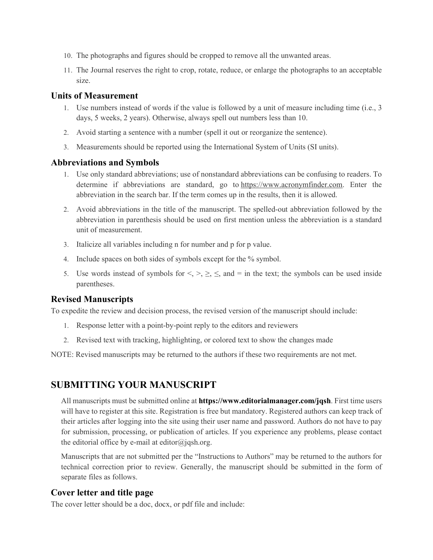- 10. The photographs and figures should be cropped to remove all the unwanted areas.
- 11. The Journal reserves the right to crop, rotate, reduce, or enlarge the photographs to an acceptable size.

### <span id="page-10-0"></span>**Units of Measurement**

- 1. Use numbers instead of words if the value is followed by a unit of measure including time (i.e., 3 days, 5 weeks, 2 years). Otherwise, always spell out numbers less than 10.
- 2. Avoid starting a sentence with a number (spell it out or reorganize the sentence).
- 3. Measurements should be reported using the International System of Units (SI units).

## <span id="page-10-1"></span>**Abbreviations and Symbols**

- 1. Use only standard abbreviations; use of nonstandard abbreviations can be confusing to readers. To determine if abbreviations are standard, go to [https://www.acronymfinder.com.](https://www.acronymfinder.com/) Enter the abbreviation in the search bar. If the term comes up in the results, then it is allowed.
- 2. Avoid abbreviations in the title of the manuscript. The spelled-out abbreviation followed by the abbreviation in parenthesis should be used on first mention unless the abbreviation is a standard unit of measurement.
- 3. Italicize all variables including n for number and p for p value.
- 4. Include spaces on both sides of symbols except for the % symbol.
- 5. Use words instead of symbols for  $\leq, \geq, \leq,$  and  $=$  in the text; the symbols can be used inside parentheses.

## <span id="page-10-2"></span>**Revised Manuscripts**

To expedite the review and decision process, the revised version of the manuscript should include:

- 1. Response letter with a point-by-point reply to the editors and reviewers
- 2. Revised text with tracking, highlighting, or colored text to show the changes made

NOTE: Revised manuscripts may be returned to the authors if these two requirements are not met.

## <span id="page-10-3"></span>**SUBMITTING YOUR MANUSCRIPT**

All manuscripts must be submitted online at **https://www.editorialmanager.com/jqsh**. First time users will have to register at this site. Registration is free but mandatory. Registered authors can keep track of their articles after logging into the site using their user name and password. Authors do not have to pay for submission, processing, or publication of articles. If you experience any problems, please contact the editorial office by e-mail at editor@jqsh.org.

Manuscripts that are not submitted per the "Instructions to Authors" may be returned to the authors for technical correction prior to review. Generally, the manuscript should be submitted in the form of separate files as follows.

## <span id="page-10-4"></span>**Cover letter and title page**

The cover letter should be a doc, docx, or pdf file and include: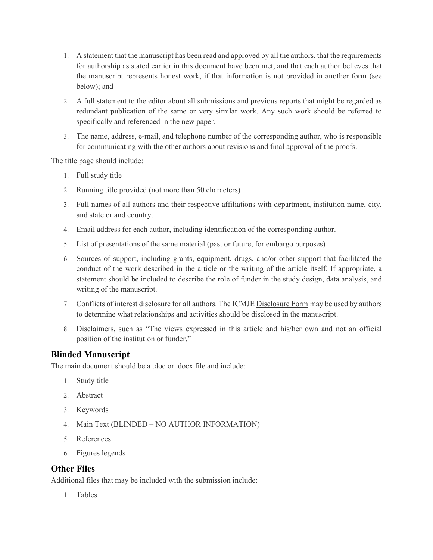- 1. A statement that the manuscript has been read and approved by all the authors, that the requirements for authorship as stated earlier in this document have been met, and that each author believes that the manuscript represents honest work, if that information is not provided in another form (see below); and
- 2. A full statement to the editor about all submissions and previous reports that might be regarded as redundant publication of the same or very similar work. Any such work should be referred to specifically and referenced in the new paper.
- 3. The name, address, e-mail, and telephone number of the corresponding author, who is responsible for communicating with the other authors about revisions and final approval of the proofs.

The title page should include:

- 1. Full study title
- 2. Running title provided (not more than 50 characters)
- 3. Full names of all authors and their respective affiliations with department, institution name, city, and state or and country.
- 4. Email address for each author, including identification of the corresponding author.
- 5. List of presentations of the same material (past or future, for embargo purposes)
- 6. Sources of support, including grants, equipment, drugs, and/or other support that facilitated the conduct of the work described in the article or the writing of the article itself. If appropriate, a statement should be included to describe the role of funder in the study design, data analysis, and writing of the manuscript.
- 7. Conflicts of interest disclosure for all authors. The ICMJ[E Disclosure Form](http://www.icmje.org/conflicts-of-interest/) may be used by authors to determine what relationships and activities should be disclosed in the manuscript.
- 8. Disclaimers, such as "The views expressed in this article and his/her own and not an official position of the institution or funder."

#### <span id="page-11-0"></span>**Blinded Manuscript**

The main document should be a .doc or .docx file and include:

- 1. Study title
- 2. Abstract
- 3. Keywords
- 4. Main Text (BLINDED NO AUTHOR INFORMATION)
- 5. References
- 6. Figures legends

## <span id="page-11-1"></span>**Other Files**

Additional files that may be included with the submission include:

1. Tables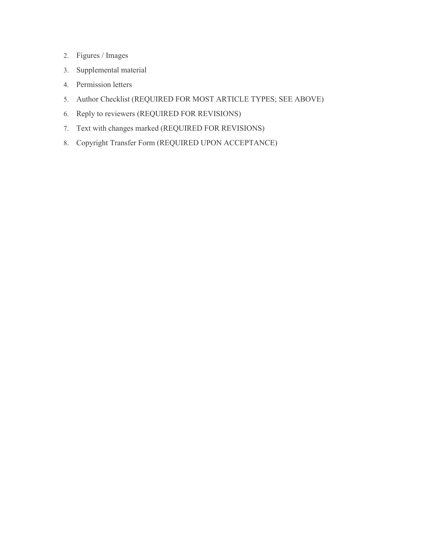- 2. Figures / Images
- 3. Supplemental material
- 4. Permission letters
- 5. Author Checklist (REQUIRED FOR MOST ARTICLE TYPES; SEE ABOVE)
- 6. Reply to reviewers (REQUIRED FOR REVISIONS)
- 7. Text with changes marked (REQUIRED FOR REVISIONS)
- 8. Copyright Transfer Form (REQUIRED UPON ACCEPTANCE)